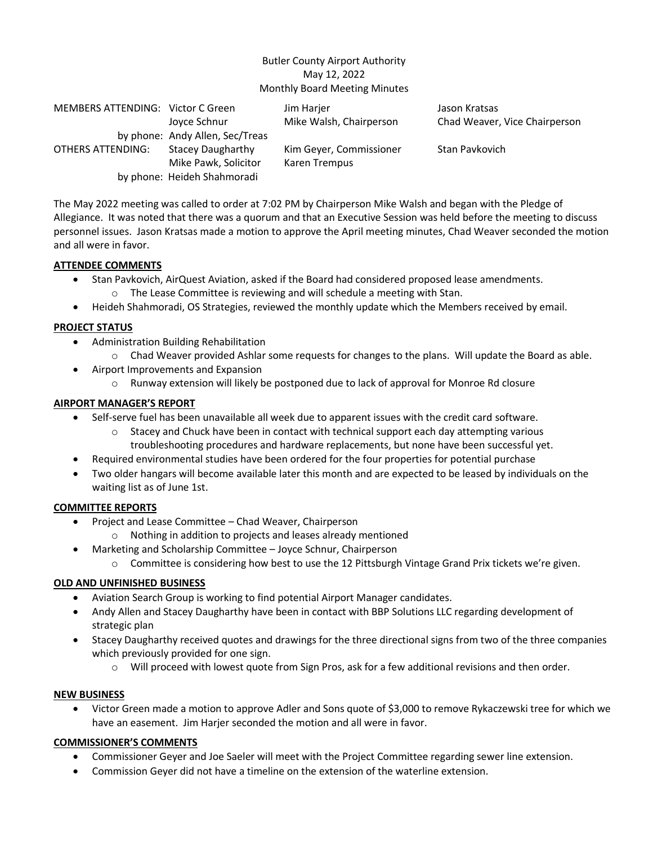#### Butler County Airport Authority May 12, 2022 Monthly Board Meeting Minutes

| MEMBERS ATTENDING: Victor C Green |                                 | Jim Harjer              | Jason Kratsas                 |
|-----------------------------------|---------------------------------|-------------------------|-------------------------------|
|                                   | Joyce Schnur                    | Mike Walsh, Chairperson | Chad Weaver, Vice Chairperson |
|                                   | by phone: Andy Allen, Sec/Treas |                         |                               |
| OTHERS ATTENDING:                 | <b>Stacey Daugharthy</b>        | Kim Geyer, Commissioner | Stan Pavkovich                |
|                                   | Mike Pawk, Solicitor            | Karen Trempus           |                               |
|                                   | by phone: Heideh Shahmoradi     |                         |                               |

The May 2022 meeting was called to order at 7:02 PM by Chairperson Mike Walsh and began with the Pledge of Allegiance. It was noted that there was a quorum and that an Executive Session was held before the meeting to discuss personnel issues. Jason Kratsas made a motion to approve the April meeting minutes, Chad Weaver seconded the motion and all were in favor.

#### **ATTENDEE COMMENTS**

- Stan Pavkovich, AirQuest Aviation, asked if the Board had considered proposed lease amendments.
	- o The Lease Committee is reviewing and will schedule a meeting with Stan.
- Heideh Shahmoradi, OS Strategies, reviewed the monthly update which the Members received by email.

## **PROJECT STATUS**

- Administration Building Rehabilitation
	- o Chad Weaver provided Ashlar some requests for changes to the plans. Will update the Board as able.
- Airport Improvements and Expansion
	- o Runway extension will likely be postponed due to lack of approval for Monroe Rd closure

#### **AIRPORT MANAGER'S REPORT**

- Self-serve fuel has been unavailable all week due to apparent issues with the credit card software.
	- $\circ$  Stacey and Chuck have been in contact with technical support each day attempting various troubleshooting procedures and hardware replacements, but none have been successful yet.
- Required environmental studies have been ordered for the four properties for potential purchase
- Two older hangars will become available later this month and are expected to be leased by individuals on the waiting list as of June 1st.

## **COMMITTEE REPORTS**

- Project and Lease Committee Chad Weaver, Chairperson
	- o Nothing in addition to projects and leases already mentioned
- Marketing and Scholarship Committee Joyce Schnur, Chairperson
	- o Committee is considering how best to use the 12 Pittsburgh Vintage Grand Prix tickets we're given.

## **OLD AND UNFINISHED BUSINESS**

- Aviation Search Group is working to find potential Airport Manager candidates.
- Andy Allen and Stacey Daugharthy have been in contact with BBP Solutions LLC regarding development of strategic plan
- Stacey Daugharthy received quotes and drawings for the three directional signs from two of the three companies which previously provided for one sign.
	- $\circ$  Will proceed with lowest quote from Sign Pros, ask for a few additional revisions and then order.

#### **NEW BUSINESS**

• Victor Green made a motion to approve Adler and Sons quote of \$3,000 to remove Rykaczewski tree for which we have an easement. Jim Harjer seconded the motion and all were in favor.

## **COMMISSIONER'S COMMENTS**

- Commissioner Geyer and Joe Saeler will meet with the Project Committee regarding sewer line extension.
- Commission Geyer did not have a timeline on the extension of the waterline extension.